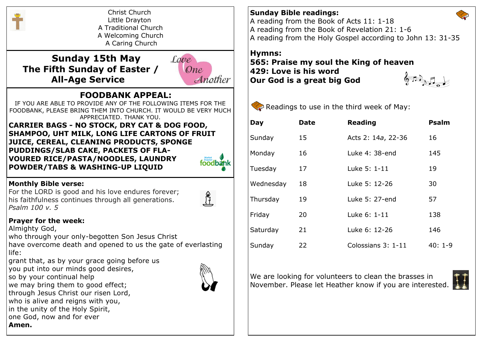

Christ Church Little Drayton A Traditional Church A Welcoming Church A Caring Church

 **Sunday 15th May The Fifth Sunday of Easter / All-Age Service**



## **FOODBANK APPEAL:**

IF YOU ARE ABLE TO PROVIDE ANY OF THE FOLLOWING ITEMS FOR THE FOODBANK, PLEASE BRING THEM INTO CHURCH. IT WOULD BE VERY MUCH APPRECIATED. THANK YOU.

**CARRIER BAGS - NO STOCK, DRY CAT & DOG FOOD, SHAMPOO, UHT MILK, LONG LIFE CARTONS OF FRUIT JUICE, CEREAL, CLEANING PRODUCTS, SPONGE PUDDINGS/SLAB CAKE, PACKETS OF FLA-VOURED RICE/PASTA/NOODLES, LAUNDRY POWDER/TABS & WASHING-UP LIQUID**



For the LORD is good and his love endures forever; his faithfulness continues through all generations. *Psalm 100 v. 5*

### **Prayer for the week:**

Almighty God,

who through your only-begotten Son Jesus Christ have overcome death and opened to us the gate of everlasting life:

grant that, as by your grace going before us

you put into our minds good desires,

so by your continual help

we may bring them to good effect;

through Jesus Christ our risen Lord,

who is alive and reigns with you,

in the unity of the Holy Spirit,

one God, now and for ever

**Amen.**

**Sunday Bible readings:** A reading from the Book of Acts 11: 1-18 A reading from the Book of Revelation 21: 1-6 A reading from the Holy Gospel according to John 13: 31-35

# **Hymns:**

**565: Praise my soul the King of heaven 429: Love is his word Our God is a great big God**





| Day       | <b>Date</b> | <b>Reading</b>     | <b>Psalm</b> |
|-----------|-------------|--------------------|--------------|
| Sunday    | 15          | Acts 2: 14a, 22-36 | 16           |
| Monday    | 16          | Luke 4: 38-end     | 145          |
| Tuesday   | 17          | Luke 5: 1-11       | 19           |
| Wednesday | 18          | Luke 5: 12-26      | 30           |
| Thursday  | 19          | Luke 5: 27-end     | 57           |
| Friday    | 20          | Luke 6: 1-11       | 138          |
| Saturday  | 21          | Luke 6: 12-26      | 146          |
| Sunday    | 22          | Colossians 3: 1-11 | $40:1-9$     |

We are looking for volunteers to clean the brasses in November. Please let Heather know if you are interested.